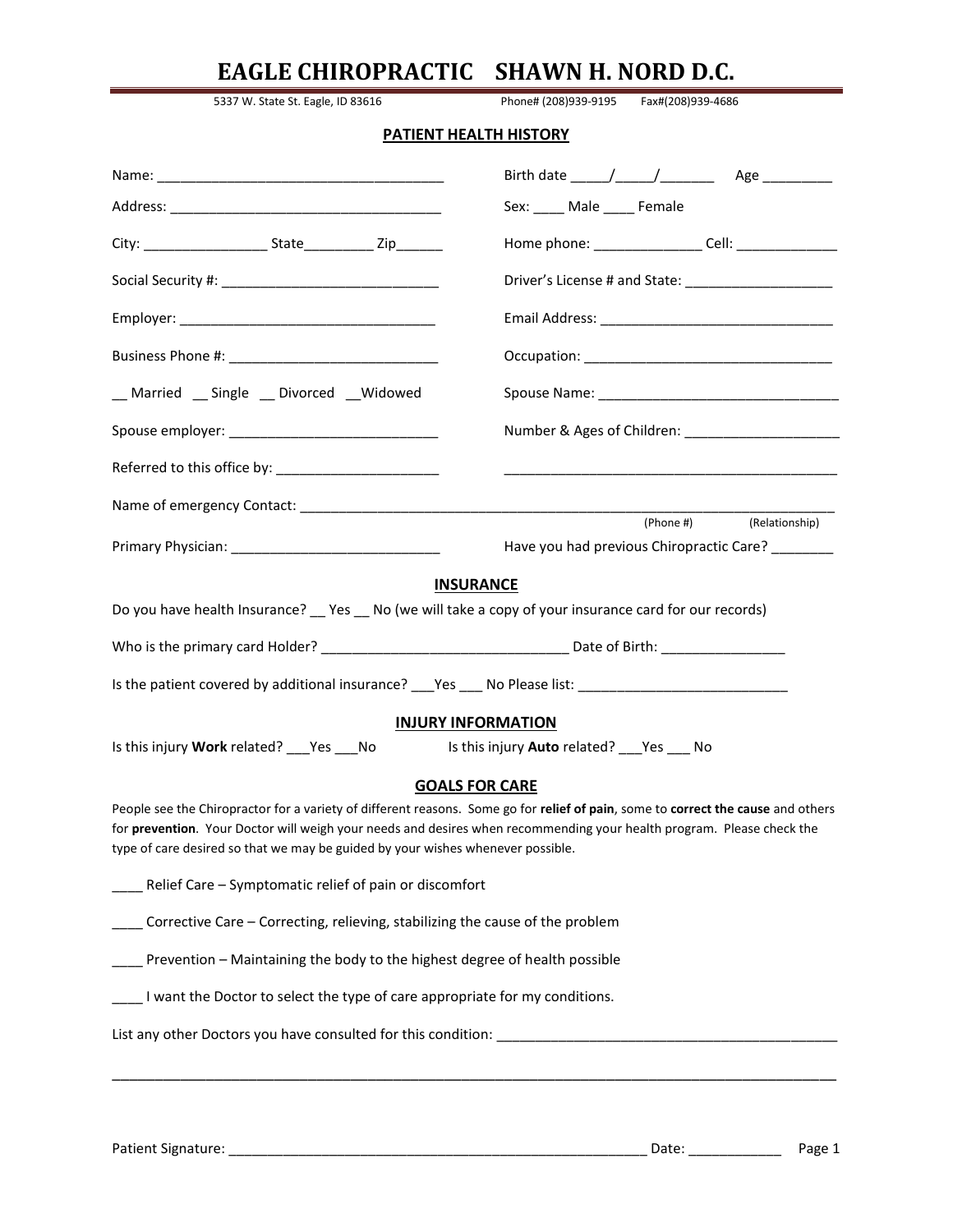|                                                                                                                                                                                                          | EAGLE CHIROPRACTIC SHAWN H. NORD D.C.                                                                                            |
|----------------------------------------------------------------------------------------------------------------------------------------------------------------------------------------------------------|----------------------------------------------------------------------------------------------------------------------------------|
| 5337 W. State St. Eagle, ID 83616                                                                                                                                                                        | Phone# (208)939-9195<br>Fax#(208)939-4686                                                                                        |
|                                                                                                                                                                                                          | PATIENT HEALTH HISTORY                                                                                                           |
|                                                                                                                                                                                                          |                                                                                                                                  |
|                                                                                                                                                                                                          | Sex: _____ Male _____ Female                                                                                                     |
|                                                                                                                                                                                                          | Home phone: ___________________ Cell: ________________                                                                           |
|                                                                                                                                                                                                          | Driver's License # and State: ________________________                                                                           |
|                                                                                                                                                                                                          |                                                                                                                                  |
|                                                                                                                                                                                                          |                                                                                                                                  |
| _Married _Single _ Divorced _Widowed                                                                                                                                                                     |                                                                                                                                  |
|                                                                                                                                                                                                          |                                                                                                                                  |
|                                                                                                                                                                                                          |                                                                                                                                  |
|                                                                                                                                                                                                          |                                                                                                                                  |
|                                                                                                                                                                                                          | Have you had previous Chiropractic Care? _______                                                                                 |
|                                                                                                                                                                                                          | <b>INSURANCE</b>                                                                                                                 |
| Do you have health Insurance? __ Yes __ No (we will take a copy of your insurance card for our records)                                                                                                  |                                                                                                                                  |
|                                                                                                                                                                                                          |                                                                                                                                  |
| Is the patient covered by additional insurance? ___Yes ___ No Please list: _______________________________                                                                                               |                                                                                                                                  |
|                                                                                                                                                                                                          | <b>INJURY INFORMATION</b>                                                                                                        |
| Is this injury Work related? ___ Yes ___ No                                                                                                                                                              | Is this injury Auto related? ___ Yes ___ No                                                                                      |
|                                                                                                                                                                                                          | <b>GOALS FOR CARE</b>                                                                                                            |
| for prevention. Your Doctor will weigh your needs and desires when recommending your health program. Please check the<br>type of care desired so that we may be guided by your wishes whenever possible. | People see the Chiropractor for a variety of different reasons. Some go for relief of pain, some to correct the cause and others |
| ___ Relief Care - Symptomatic relief of pain or discomfort                                                                                                                                               |                                                                                                                                  |
| ____ Corrective Care - Correcting, relieving, stabilizing the cause of the problem                                                                                                                       |                                                                                                                                  |
| ___ Prevention - Maintaining the body to the highest degree of health possible                                                                                                                           |                                                                                                                                  |
| I want the Doctor to select the type of care appropriate for my conditions.                                                                                                                              |                                                                                                                                  |
|                                                                                                                                                                                                          |                                                                                                                                  |
|                                                                                                                                                                                                          |                                                                                                                                  |
|                                                                                                                                                                                                          |                                                                                                                                  |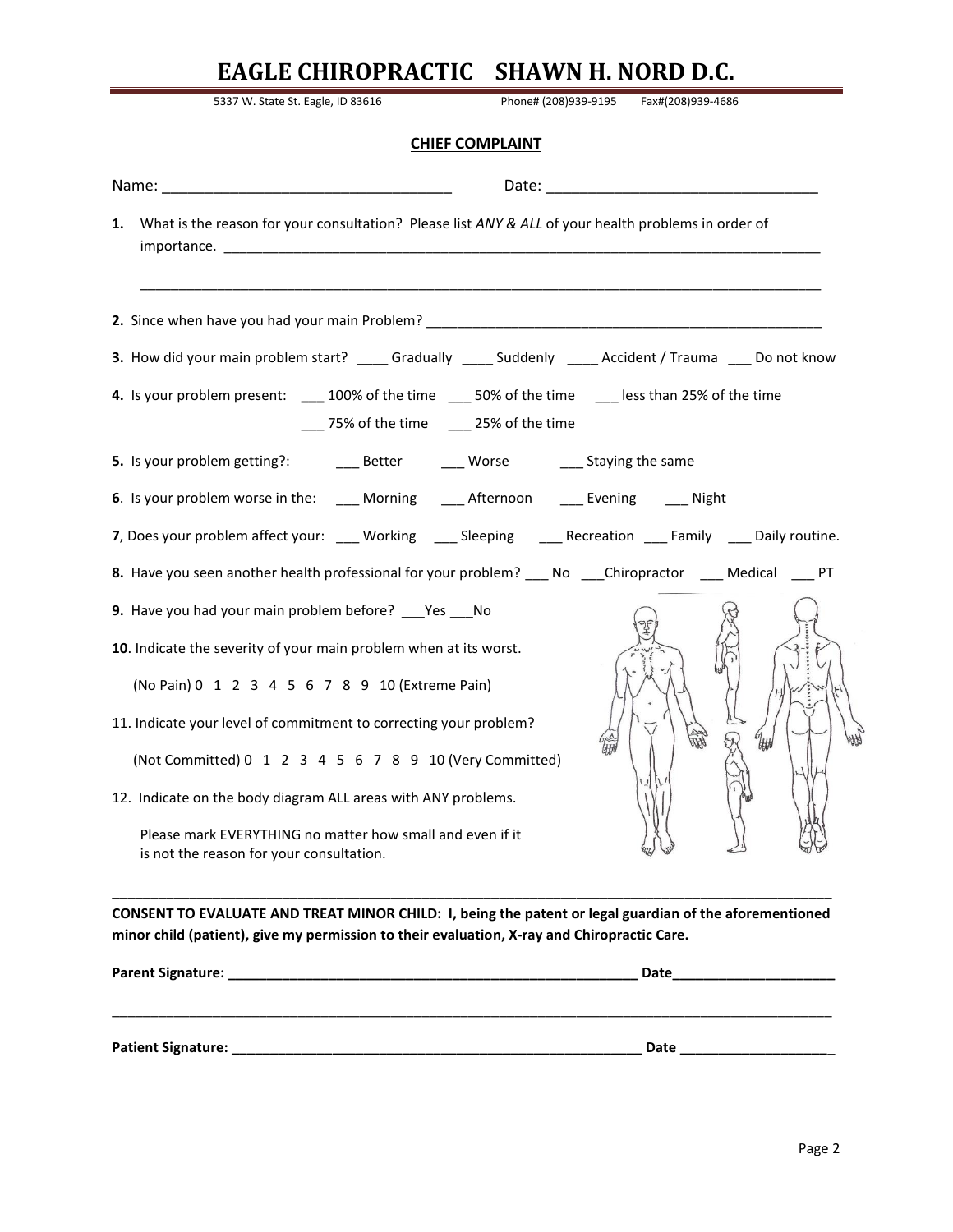| 5337 W. State St. Eagle, ID 83616                                                                                                      |                        | Phone# (208)939-9195    Fax#(208)939-4686 |  |
|----------------------------------------------------------------------------------------------------------------------------------------|------------------------|-------------------------------------------|--|
|                                                                                                                                        | <b>CHIEF COMPLAINT</b> |                                           |  |
|                                                                                                                                        |                        |                                           |  |
| What is the reason for your consultation? Please list ANY & ALL of your health problems in order of<br>1.                              |                        |                                           |  |
|                                                                                                                                        |                        |                                           |  |
| 3. How did your main problem start? _____ Gradually _____ Suddenly _____ Accident / Trauma ____ Do not know                            |                        |                                           |  |
| 4. Is your problem present: 100% of the time 50% of the time 100 less than 25% of the time<br>___ 75% of the time ____ 25% of the time |                        |                                           |  |
|                                                                                                                                        |                        |                                           |  |
| 6. Is your problem worse in the: ____ Morning ____ Afternoon ____ Evening ____ Night                                                   |                        |                                           |  |
| 7, Does your problem affect your: ___ Working ___ Sleeping ___ Recreation ___ Family ___ Daily routine.                                |                        |                                           |  |
| 8. Have you seen another health professional for your problem? ____ No ____Chiropractor _____ Medical ____ PT                          |                        |                                           |  |
| 9. Have you had your main problem before? ___Yes ___No                                                                                 |                        |                                           |  |
| 10. Indicate the severity of your main problem when at its worst.                                                                      |                        |                                           |  |
| (No Pain) 0 1 2 3 4 5 6 7 8 9 10 (Extreme Pain)                                                                                        |                        |                                           |  |
| 11. Indicate your level of commitment to correcting your problem?                                                                      |                        |                                           |  |
| (Not Committed) 0 1 2 3 4 5 6 7 8 9 10 (Very Committed)                                                                                |                        |                                           |  |
| 12. Indicate on the body diagram ALL areas with ANY problems.                                                                          |                        |                                           |  |
| Please mark EVERYTHING no matter how small and even if it<br>is not the reason for your consultation.                                  |                        |                                           |  |

**CONSENT TO EVALUATE AND TREAT MINOR CHILD: I, being the patent or legal guardian of the aforementioned minor child (patient), give my permission to their evaluation, X-ray and Chiropractic Care.**

| Parent Signature:  | Date |
|--------------------|------|
|                    |      |
|                    |      |
| Patient Signature: | Date |
|                    |      |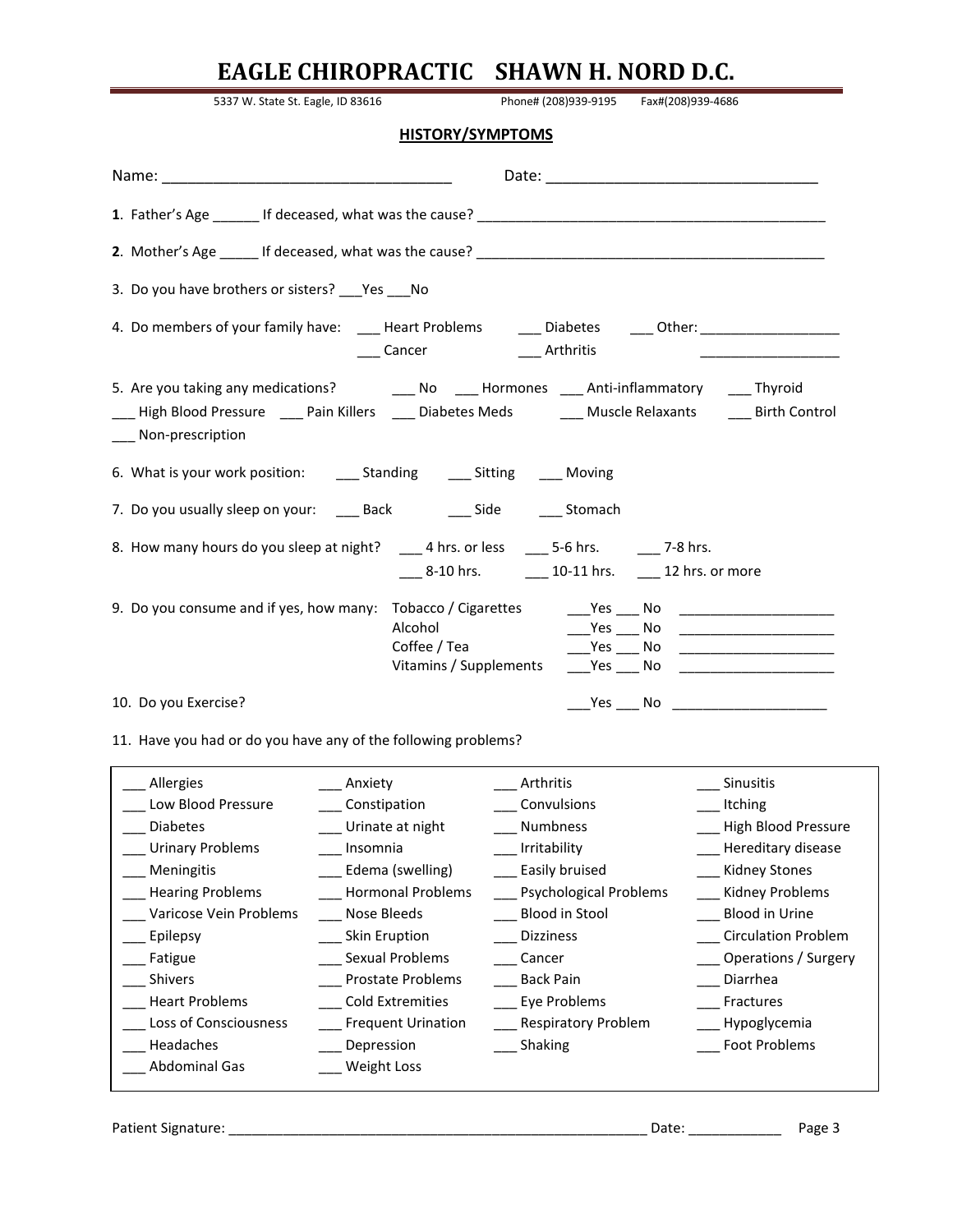| 5337 W. State St. Eagle, ID 83616                                                                                                                                                                                                          |                                                        |  | Phone# (208)939-9195    Fax#(208)939-4686 |
|--------------------------------------------------------------------------------------------------------------------------------------------------------------------------------------------------------------------------------------------|--------------------------------------------------------|--|-------------------------------------------|
| <b>HISTORY/SYMPTOMS</b>                                                                                                                                                                                                                    |                                                        |  |                                           |
|                                                                                                                                                                                                                                            |                                                        |  |                                           |
|                                                                                                                                                                                                                                            |                                                        |  |                                           |
|                                                                                                                                                                                                                                            |                                                        |  |                                           |
| 3. Do you have brothers or sisters? Pes No                                                                                                                                                                                                 |                                                        |  |                                           |
| 4. Do members of your family have: ______Heart Problems ________Diabetes ______Other: ____________________                                                                                                                                 | ____ Cancer ____ _____ Arthritis                       |  |                                           |
| 5. Are you taking any medications? __________ No _____ Hormones _____ Anti-inflammatory _____ Thyroid<br>High Blood Pressure _____ Pain Killers _____ Diabetes Meds ________ Muscle Relaxants ______ Birth Control<br>___ Non-prescription |                                                        |  |                                           |
| 6. What is your work position: _______ Standing _______ Sitting ______ Moving                                                                                                                                                              |                                                        |  |                                           |
| 7. Do you usually sleep on your: ____ Back _____ ___ Side ____ ___ Stomach                                                                                                                                                                 |                                                        |  |                                           |
|                                                                                                                                                                                                                                            | ____ 8-10 hrs. ______ 10-11 hrs. _____ 12 hrs. or more |  |                                           |
| 9. Do you consume and if yes, how many: Tobacco / Cigarettes Yes No                                                                                                                                                                        | Alcohol<br>Coffee / Tea<br>Vitamins / Supplements      |  |                                           |
| 10. Do you Exercise?                                                                                                                                                                                                                       |                                                        |  |                                           |
| 11. Have you had or do you have any of the following problems?                                                                                                                                                                             |                                                        |  |                                           |
| Allergies<br>Anxiety                                                                                                                                                                                                                       | Arthritis                                              |  | Sinusitis                                 |

| Allergies               | Anxiety                   | Arthritis                     | <b>Sinusitis</b>           |
|-------------------------|---------------------------|-------------------------------|----------------------------|
| Low Blood Pressure      | Constipation              | Convulsions                   | Itching                    |
| <b>Diabetes</b>         | Urinate at night          | <b>Numbness</b>               | High Blood Pressure        |
| <b>Urinary Problems</b> | Insomnia                  | Irritability                  | Hereditary disease         |
| Meningitis              | Edema (swelling)          | Easily bruised                | <b>Kidney Stones</b>       |
| <b>Hearing Problems</b> | <b>Hormonal Problems</b>  | <b>Psychological Problems</b> | Kidney Problems            |
| Varicose Vein Problems  | Nose Bleeds               | Blood in Stool                | <b>Blood in Urine</b>      |
| Epilepsy                | Skin Eruption             | <b>Dizziness</b>              | <b>Circulation Problem</b> |
| Fatigue                 | Sexual Problems           | Cancer                        | Operations / Surgery       |
| <b>Shivers</b>          | <b>Prostate Problems</b>  | <b>Back Pain</b>              | Diarrhea                   |
| <b>Heart Problems</b>   | <b>Cold Extremities</b>   | Eye Problems                  | Fractures                  |
| Loss of Consciousness   | <b>Frequent Urination</b> | <b>Respiratory Problem</b>    | Hypoglycemia               |
| Headaches               | Depression                | Shaking                       | Foot Problems              |
| Abdominal Gas           | Weight Loss               |                               |                            |
|                         |                           |                               |                            |

Patient Signature: \_\_\_\_\_\_\_\_\_\_\_\_\_\_\_\_\_\_\_\_\_\_\_\_\_\_\_\_\_\_\_\_\_\_\_\_\_\_\_\_\_\_\_\_\_\_\_\_\_\_\_\_\_\_ Date: \_\_\_\_\_\_\_\_\_\_\_\_ Page 3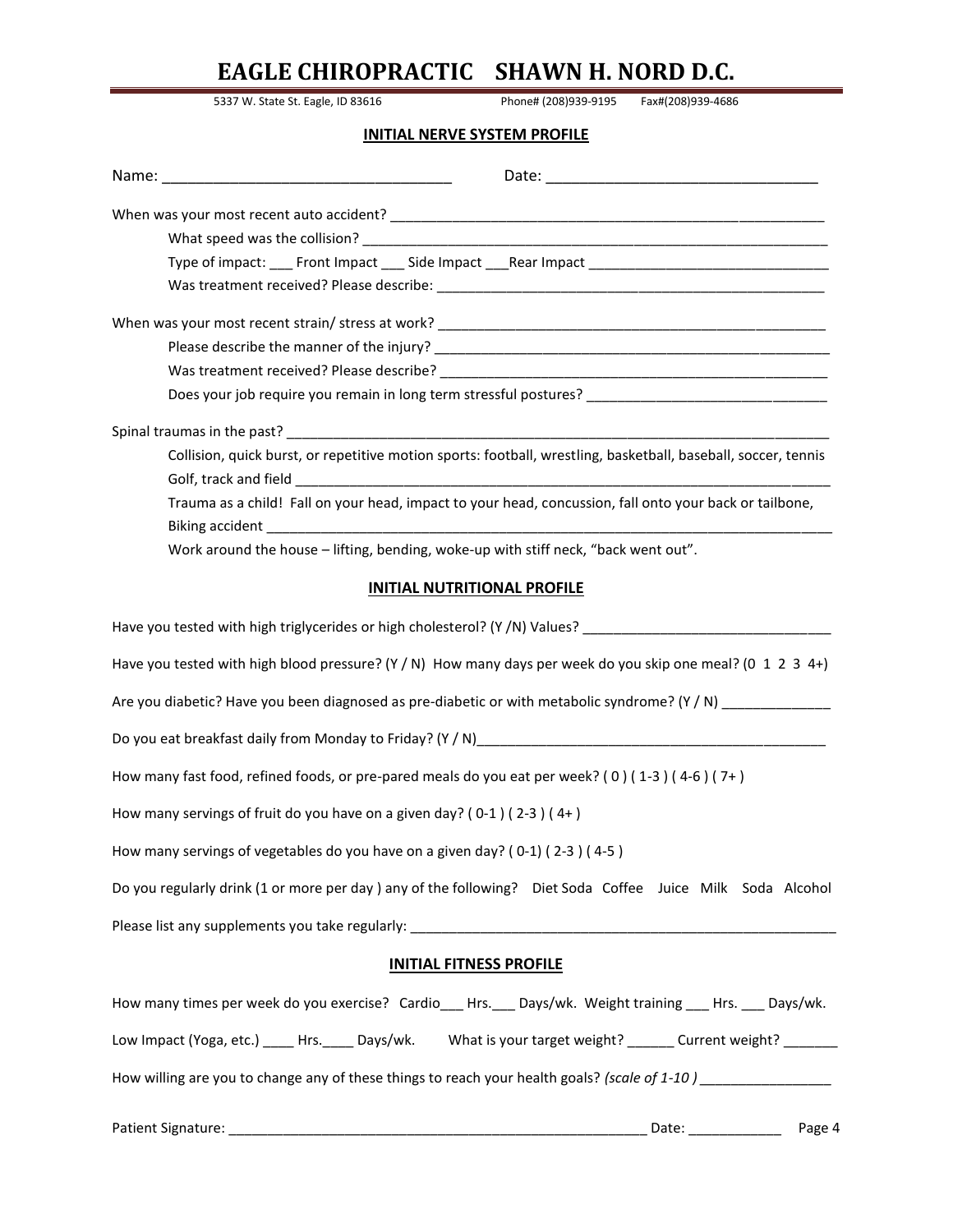5337 W. State St. Eagle, ID 83616 Phone# (208)939-9195 Fax#(208)939-4686

### **INITIAL NERVE SYSTEM PROFILE**

| Type of impact: ___ Front Impact ___ Side Impact ___Rear Impact ___________________________________            |
|----------------------------------------------------------------------------------------------------------------|
|                                                                                                                |
|                                                                                                                |
|                                                                                                                |
|                                                                                                                |
| Does your job require you remain in long term stressful postures? _________________________________            |
|                                                                                                                |
| Collision, quick burst, or repetitive motion sports: football, wrestling, basketball, baseball, soccer, tennis |
|                                                                                                                |
| Trauma as a child! Fall on your head, impact to your head, concussion, fall onto your back or tailbone,        |
| Biking accident and the state of the state of the state of the state of the state of the state of the state of |
| Work around the house - lifting, bending, woke-up with stiff neck, "back went out".                            |
| <b>INITIAL NUTRITIONAL PROFILE</b>                                                                             |
| Have you tested with high triglycerides or high cholesterol? (Y /N) Values? __________________________________ |
| Have you tested with high blood pressure? (Y / N) How many days per week do you skip one meal? (0 1 2 3 4+)    |
| Are you diabetic? Have you been diagnosed as pre-diabetic or with metabolic syndrome? (Y / N) ____________     |
|                                                                                                                |
| How many fast food, refined foods, or pre-pared meals do you eat per week? (0) (1-3) (4-6) (7+)                |
| How many servings of fruit do you have on a given day? ( $0-1$ ) ( $2-3$ ) ( $4+$ )                            |
| How many servings of vegetables do you have on a given day? (0-1) (2-3) (4-5)                                  |
| Do you regularly drink (1 or more per day) any of the following? Diet Soda Coffee Juice Milk Soda Alcohol      |
|                                                                                                                |
| <b>INITIAL FITNESS PROFILE</b>                                                                                 |
| How many times per week do you exercise? Cardio___Hrs.___ Days/wk. Weight training ___Hrs. ___ Days/wk.        |
| Low Impact (Yoga, etc.) _____ Hrs. _____ Days/wk. What is your target weight? _______ Current weight? _______  |
| How willing are you to change any of these things to reach your health goals? (scale of 1-10) _______________  |
| Page 4<br>Date: ____________                                                                                   |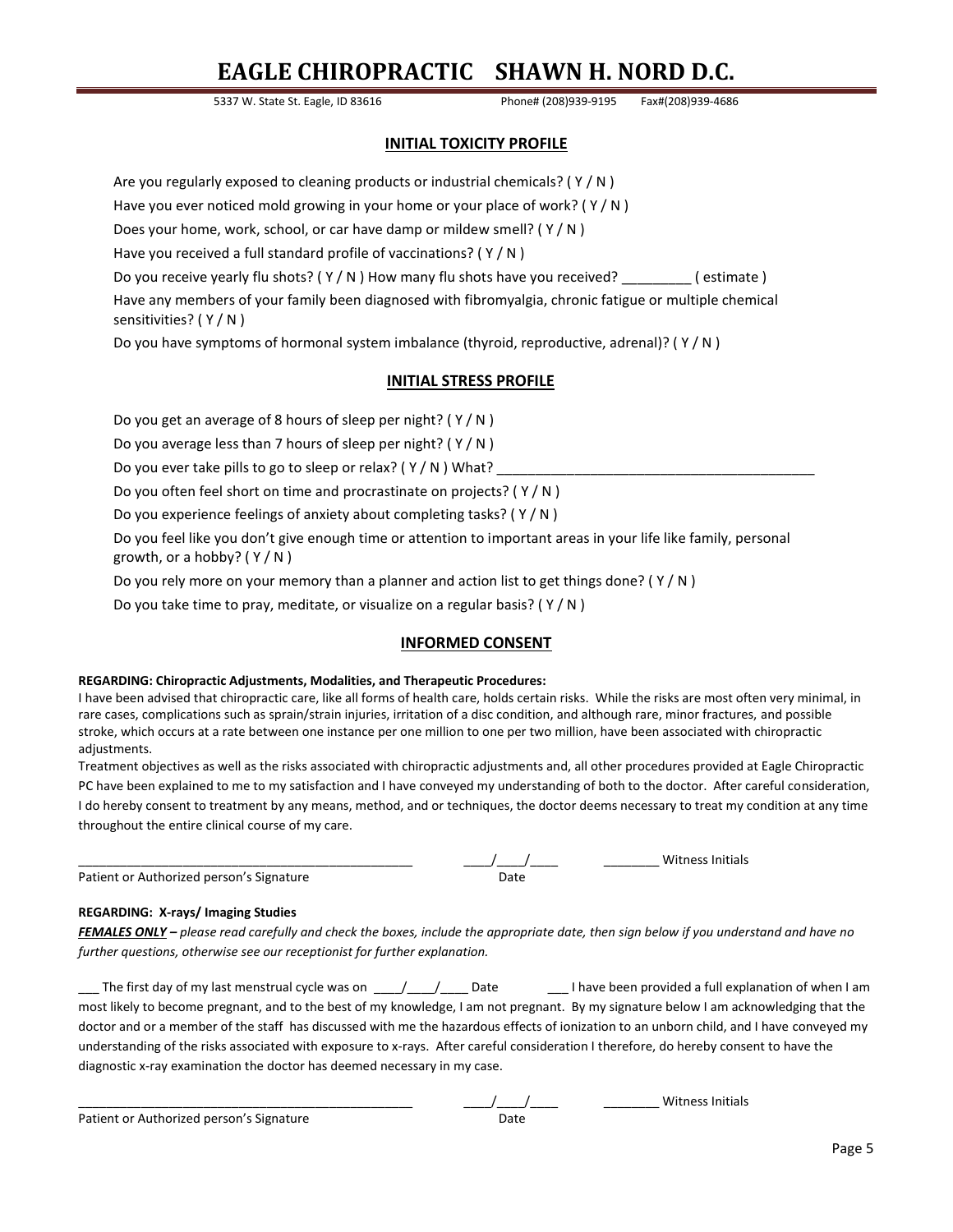5337 W. State St. Eagle, ID 83616 Phone# (208)939-9195 Fax#(208)939-4686

#### **INITIAL TOXICITY PROFILE**

Are you regularly exposed to cleaning products or industrial chemicals? ( $Y/N$ )

Have you ever noticed mold growing in your home or your place of work? (Y/N)

Does your home, work, school, or car have damp or mildew smell? ( Y / N )

Have you received a full standard profile of vaccinations? ( Y / N )

Do you receive yearly flu shots? (Y/N) How many flu shots have you received? (estimate )

Have any members of your family been diagnosed with fibromyalgia, chronic fatigue or multiple chemical sensitivities? ( Y / N )

Do you have symptoms of hormonal system imbalance (thyroid, reproductive, adrenal)? ( Y / N )

### **INITIAL STRESS PROFILE**

Do you get an average of 8 hours of sleep per night? ( Y / N )

Do you average less than 7 hours of sleep per night? ( Y / N )

Do you ever take pills to go to sleep or relax?  $(Y/N)$  What?

Do you often feel short on time and procrastinate on projects? ( Y / N )

Do you experience feelings of anxiety about completing tasks? ( Y / N )

Do you feel like you don't give enough time or attention to important areas in your life like family, personal growth, or a hobby?  $(Y/N)$ 

Do you rely more on your memory than a planner and action list to get things done? ( $Y/N$ )

Do you take time to pray, meditate, or visualize on a regular basis? ( Y / N )

#### **INFORMED CONSENT**

#### **REGARDING: Chiropractic Adjustments, Modalities, and Therapeutic Procedures:**

I have been advised that chiropractic care, like all forms of health care, holds certain risks. While the risks are most often very minimal, in rare cases, complications such as sprain/strain injuries, irritation of a disc condition, and although rare, minor fractures, and possible stroke, which occurs at a rate between one instance per one million to one per two million, have been associated with chiropractic adjustments.

Treatment objectives as well as the risks associated with chiropractic adjustments and, all other procedures provided at Eagle Chiropractic PC have been explained to me to my satisfaction and I have conveyed my understanding of both to the doctor. After careful consideration, I do hereby consent to treatment by any means, method, and or techniques, the doctor deems necessary to treat my condition at any time throughout the entire clinical course of my care.

|                                          |      | <b>Witness Initials</b> |
|------------------------------------------|------|-------------------------|
| Patient or Authorized person's Signature | Date |                         |

#### **REGARDING: X-rays/ Imaging Studies**

*FEMALES ONLY – please read carefully and check the boxes, include the appropriate date, then sign below if you understand and have no further questions, otherwise see our receptionist for further explanation.*

The first day of my last menstrual cycle was on  $\frac{1}{\frac{1}{2}}$  Date  $\frac{1}{\frac{1}{2}}$  have been provided a full explanation of when I am most likely to become pregnant, and to the best of my knowledge, I am not pregnant. By my signature below I am acknowledging that the doctor and or a member of the staff has discussed with me the hazardous effects of ionization to an unborn child, and I have conveyed my understanding of the risks associated with exposure to x-rays. After careful consideration I therefore, do hereby consent to have the diagnostic x-ray examination the doctor has deemed necessary in my case.

Patient or Authorized person's Signature **Date** Date

Witness Initials